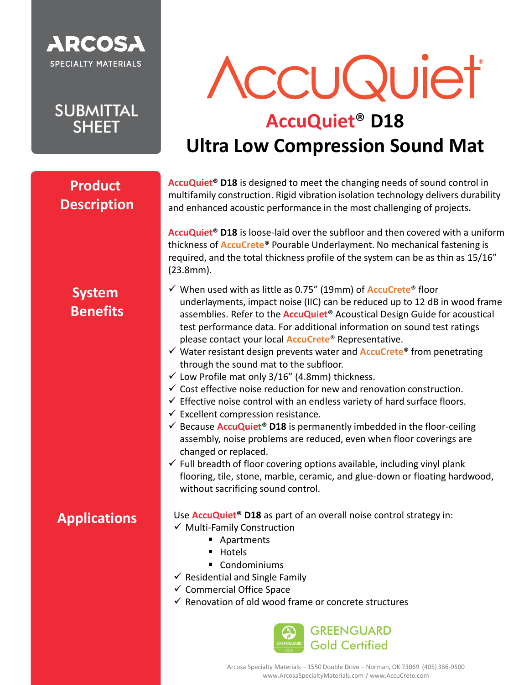

**SUBMITTAL SHEET** 

# AccuQuiet

## **AccuQuiet**® **D18 Ultra Low Compression Sound Mat**

#### **Product Description**

**AccuQuiet® D18** is designed to meet the changing needs of sound control in multifamily construction. Rigid vibration isolation technology delivers durability and enhanced acoustic performance in the most challenging of projects.

**AccuQuiet® D18** is loose-laid over the subfloor and then covered with a uniform thickness of **AccuCrete**® Pourable Underlayment. No mechanical fastening is required, and the total thickness profile of the system can be as thin as 15/16" (23.8mm).

### **System Benefits**

- ✓ When used with as little as 0.75" (19mm) of **AccuCrete**® floor underlayments, impact noise (IIC) can be reduced up to 12 dB in wood frame assemblies. Refer to the **AccuQuiet®** Acoustical Design Guide for acoustical test performance data. For additional information on sound test ratings please contact your local **AccuCrete**® Representative.
- ✓ Water resistant design prevents water and **AccuCrete**® from penetrating through the sound mat to the subfloor.
- ✓ Low Profile mat only 3/16" (4.8mm) thickness.
- $\checkmark$  Cost effective noise reduction for new and renovation construction.
- $\checkmark$  Effective noise control with an endless variety of hard surface floors.
- $\checkmark$  Excellent compression resistance.
- ✓ Because **AccuQuiet® D18** is permanently imbedded in the floor-ceiling assembly, noise problems are reduced, even when floor coverings are changed or replaced.
- $\checkmark$  Full breadth of floor covering options available, including vinyl plank flooring, tile, stone, marble, ceramic, and glue-down or floating hardwood, without sacrificing sound control.

#### **Applications**

- Use **AccuQuiet® D18** as part of an overall noise control strategy in:
- ✓ Multi-Family Construction
	- Apartments
	- Hotels
	- Condominiums
- $\checkmark$  Residential and Single Family
- ✓ Commercial Office Space
- $\checkmark$  Renovation of old wood frame or concrete structures

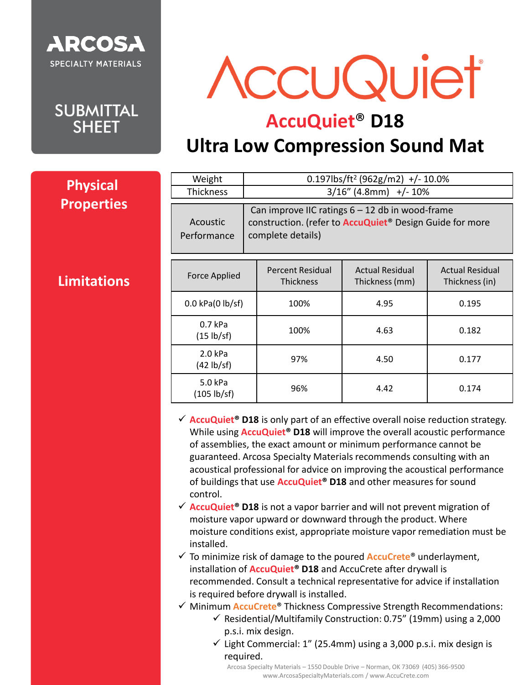

**SUBMITTAL SHEET** 

**Limitations**

**Physical** 

**Properties**

AccuQuiet

## **AccuQuiet**® **D18**

## **Ultra Low Compression Sound Mat**

| Weight<br><b>Thickness</b> |                                                                                                                                            |                                      | $0.197$ lbs/ft <sup>2</sup> (962g/m2) +/- 10.0%<br>$3/16''$ (4.8mm) +/- 10% |                                          |  |
|----------------------------|--------------------------------------------------------------------------------------------------------------------------------------------|--------------------------------------|-----------------------------------------------------------------------------|------------------------------------------|--|
| Acoustic<br>Performance    | Can improve IIC ratings $6 - 12$ db in wood-frame<br>construction. (refer to <b>AccuQuiet</b> ® Design Guide for more<br>complete details) |                                      |                                                                             |                                          |  |
| <b>Force Applied</b>       |                                                                                                                                            | Percent Residual<br><b>Thickness</b> | <b>Actual Residual</b><br>Thickness (mm)                                    | <b>Actual Residual</b><br>Thickness (in) |  |
| $0.0$ kPa $(0$ lb/sf)      |                                                                                                                                            | 100%                                 | 4.95                                                                        | 0.195                                    |  |
| $0.7$ kPa<br>(15 lb/sf)    |                                                                                                                                            | 100%                                 | 4.63                                                                        | 0.182                                    |  |
| $2.0$ kPa<br>(42 lb/sf)    |                                                                                                                                            | 97%                                  | 4.50                                                                        | 0.177                                    |  |
| 5.0 kPa<br>(105 lb/sf)     |                                                                                                                                            | 96%                                  | 4.42                                                                        | 0.174                                    |  |

- ✓ **AccuQuiet® D18** is only part of an effective overall noise reduction strategy. While using **AccuQuiet® D18** will improve the overall acoustic performance of assemblies, the exact amount or minimum performance cannot be guaranteed. Arcosa Specialty Materials recommends consulting with an acoustical professional for advice on improving the acoustical performance of buildings that use **AccuQuiet® D18** and other measures for sound control.
- ✓ **AccuQuiet® D18** is not a vapor barrier and will not prevent migration of moisture vapor upward or downward through the product. Where moisture conditions exist, appropriate moisture vapor remediation must be installed.
- ✓ To minimize risk of damage to the poured **AccuCrete**® underlayment, installation of **AccuQuiet® D18** and AccuCrete after drywall is recommended. Consult a technical representative for advice if installation is required before drywall is installed.
- ✓ Minimum **AccuCrete**® Thickness Compressive Strength Recommendations:
	- $\checkmark$  Residential/Multifamily Construction: 0.75" (19mm) using a 2,000 p.s.i. mix design.
	- ✓ Light Commercial: 1" (25.4mm) using a 3,000 p.s.i. mix design is required.